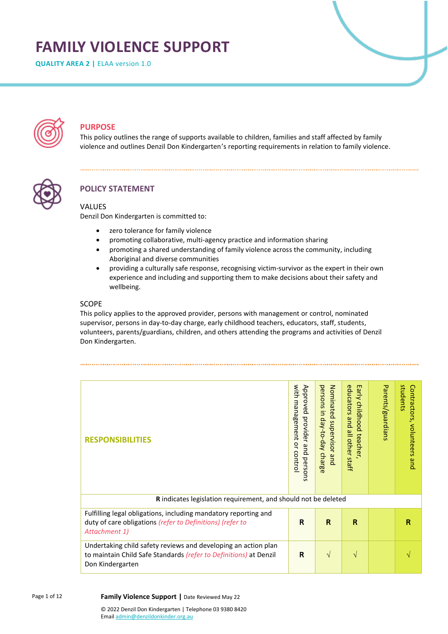# **FAMILY VIOLENCE SUPPORT**

**QUALITY AREA 2 |** ELAA version 1.0



# **PURPOSE**

This policy outlines the range of supports available to children, families and staff affected by family violence and outlines Denzil Don Kindergarten's reporting requirements in relation to family violence.



# **POLICY STATEMENT**

## VALUES

Denzil Don Kindergarten is committed to:

- zero tolerance for family violence
- promoting collaborative, multi-agency practice and information sharing
- promoting a shared understanding of family violence across the community, including Aboriginal and diverse communities
- providing a culturally safe response, recognising victim-survivor as the expert in their own experience and including and supporting them to make decisions about their safety and wellbeing.

## SCOPE

This policy applies to the approved provider, persons with management or control, nominated supervisor, persons in day-to-day charge, early childhood teachers, educators, staff, students, volunteers, parents/guardians, children, and others attending the programs and activities of Denzil Don Kindergarten.

| <b>RESPONSIBILITIES</b>                                                                                                                                 | with<br>Approved<br>management<br>provider and persons<br>q<br>control | persons in day-to-day charge<br>Nominated supervisor and | educators<br>Early<br>childhood<br>pue<br>all other staff<br>teacher, | Parents/guardians | students<br>Contractors,<br>volunteers<br>pue |
|---------------------------------------------------------------------------------------------------------------------------------------------------------|------------------------------------------------------------------------|----------------------------------------------------------|-----------------------------------------------------------------------|-------------------|-----------------------------------------------|
| R indicates legislation requirement, and should not be deleted                                                                                          |                                                                        |                                                          |                                                                       |                   |                                               |
| Fulfilling legal obligations, including mandatory reporting and<br>duty of care obligations (refer to Definitions) (refer to<br>Attachment 1)           | R                                                                      | R                                                        | R                                                                     |                   | R                                             |
| Undertaking child safety reviews and developing an action plan<br>to maintain Child Safe Standards (refer to Definitions) at Denzil<br>Don Kindergarten | R                                                                      | $\sqrt{ }$                                               | V                                                                     |                   |                                               |

Page 1 of 12

**Family Violence Support |** Date Reviewed May 22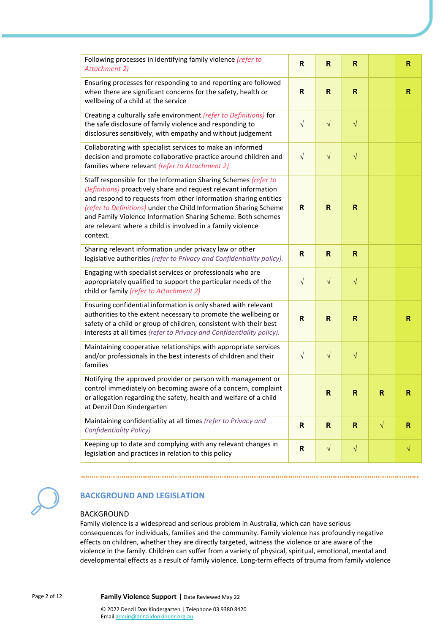| Following processes in identifying family violence (refer to<br><b>Attachment 2)</b>                                                                                                                                                                                                                                                                                                                                  | R                       | R            | R            |           | R           |
|-----------------------------------------------------------------------------------------------------------------------------------------------------------------------------------------------------------------------------------------------------------------------------------------------------------------------------------------------------------------------------------------------------------------------|-------------------------|--------------|--------------|-----------|-------------|
| Ensuring processes for responding to and reporting are followed<br>when there are significant concerns for the safety, health or<br>wellbeing of a child at the service                                                                                                                                                                                                                                               | $\mathsf{R}$            | $\mathsf{R}$ | $\mathsf{R}$ |           | R           |
| Creating a culturally safe environment (refer to Definitions) for<br>the safe disclosure of family violence and responding to<br>disclosures sensitively, with empathy and without judgement                                                                                                                                                                                                                          | $\sqrt{ }$              | $\sqrt{}$    | $\sqrt{}$    |           |             |
| Collaborating with specialist services to make an informed<br>decision and promote collaborative practice around children and<br>families where relevant (refer to Attachment 2)                                                                                                                                                                                                                                      | $\sqrt{ }$              | $\sqrt{ }$   | $\sqrt{}$    |           |             |
| Staff responsible for the Information Sharing Schemes (refer to<br>Definitions) proactively share and request relevant information<br>and respond to requests from other information-sharing entities<br>(refer to Definitions) under the Child Information Sharing Scheme<br>and Family Violence Information Sharing Scheme. Both schemes<br>are relevant where a child is involved in a family violence<br>context. | R                       | $\mathsf{R}$ | $\mathsf{R}$ |           |             |
| Sharing relevant information under privacy law or other<br>legislative authorities (refer to Privacy and Confidentiality policy).                                                                                                                                                                                                                                                                                     | $\mathsf{R}$            | $\mathsf{R}$ | $\mathsf{R}$ |           |             |
| Engaging with specialist services or professionals who are<br>appropriately qualified to support the particular needs of the<br>child or family (refer to Attachment 2)                                                                                                                                                                                                                                               | $\sqrt{ }$              | $\sqrt{}$    | $\sqrt{}$    |           |             |
| Ensuring confidential information is only shared with relevant<br>authorities to the extent necessary to promote the wellbeing or<br>safety of a child or group of children, consistent with their best<br>interests at all times (refer to Privacy and Confidentiality policy).                                                                                                                                      | $\overline{\mathsf{R}}$ | $\mathsf{R}$ | R            |           | R           |
| Maintaining cooperative relationships with appropriate services<br>and/or professionals in the best interests of children and their<br>families                                                                                                                                                                                                                                                                       | $\sqrt{ }$              | $\sqrt{}$    | $\sqrt{}$    |           |             |
| Notifying the approved provider or person with management or<br>control immediately on becoming aware of a concern, complaint<br>or allegation regarding the safety, health and welfare of a child<br>at Denzil Don Kindergarten                                                                                                                                                                                      |                         | $\mathsf R$  | $\mathsf R$  | ${\sf R}$ | R           |
| Maintaining confidentiality at all times (refer to Privacy and<br><b>Confidentiality Policy)</b>                                                                                                                                                                                                                                                                                                                      | $\mathsf{R}$            | $\mathsf{R}$ | $\mathsf{R}$ | $\sqrt{}$ | $\mathbf R$ |
| Keeping up to date and complying with any relevant changes in<br>legislation and practices in relation to this policy                                                                                                                                                                                                                                                                                                 | $\mathsf R$             | $\sqrt{ }$   | $\sqrt{}$    |           | $\sqrt{}$   |



# **BACKGROUND AND LEGISLATION**

#### BACKGROUND

Family violence is a widespread and serious problem in Australia, which can have serious consequences for individuals, families and the community. Family violence has profoundly negative effects on children, whether they are directly targeted, witness the violence or are aware of the violence in the family. Children can suffer from a variety of physical, spiritual, emotional, mental and developmental effects as a result of family violence. Long-term effects of trauma from family violence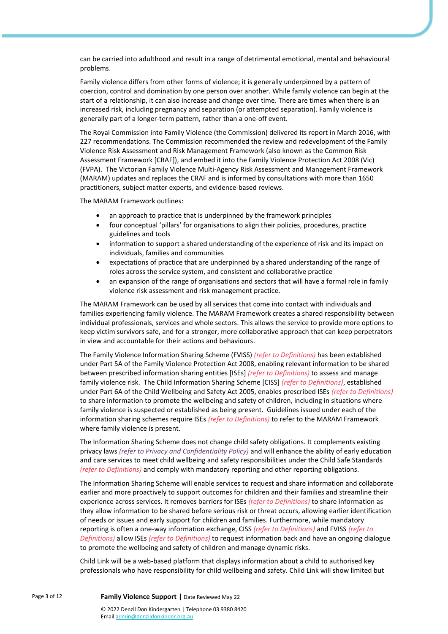can be carried into adulthood and result in a range of detrimental emotional, mental and behavioural problems.

Family violence differs from other forms of violence; it is generally underpinned by a pattern of coercion, control and domination by one person over another. While family violence can begin at the start of a relationship, it can also increase and change over time. There are times when there is an increased risk, including pregnancy and separation (or attempted separation). Family violence is generally part of a longer-term pattern, rather than a one-off event.

The Royal Commission into Family Violence (the Commission) delivered its report in March 2016, with 227 recommendations. The Commission recommended the review and redevelopment of the Family Violence Risk Assessment and Risk Management Framework (also known as the Common Risk Assessment Framework [CRAF]), and embed it into the Family Violence Protection Act 2008 (Vic) (FVPA). The Victorian Family Violence Multi-Agency Risk Assessment and Management Framework (MARAM) updates and replaces the CRAF and is informed by consultations with more than 1650 practitioners, subject matter experts, and evidence-based reviews.

The MARAM Framework outlines:

- an approach to practice that is underpinned by the framework principles
- four conceptual 'pillars' for organisations to align their policies, procedures, practice guidelines and tools
- information to support a shared understanding of the experience of risk and its impact on individuals, families and communities
- expectations of practice that are underpinned by a shared understanding of the range of roles across the service system, and consistent and collaborative practice
- an expansion of the range of organisations and sectors that will have a formal role in family violence risk assessment and risk management practice.

The MARAM Framework can be used by all services that come into contact with individuals and families experiencing family violence. The MARAM Framework creates a shared responsibility between individual professionals, services and whole sectors. This allows the service to provide more options to keep victim survivors safe, and for a stronger, more collaborative approach that can keep perpetrators in view and accountable for their actions and behaviours.

The Family Violence Information Sharing Scheme (FVISS) *(refer to Definitions)* has been established under Part 5A of the Family Violence Protection Act 2008, enabling relevant information to be shared between prescribed information sharing entities [ISEs] *(refer to Definitions)* to assess and manage family violence risk. The Child Information Sharing Scheme [CISS] *(refer to Definitions)*, established under Part 6A of the Child Wellbeing and Safety Act 2005, enables prescribed ISEs *(refer to Definitions)* to share information to promote the wellbeing and safety of children, including in situations where family violence is suspected or established as being present. Guidelines issued under each of the information sharing schemes require ISEs *(refer to Definitions)* to refer to the MARAM Framework where family violence is present.

The Information Sharing Scheme does not change child safety obligations. It complements existing privacy laws *(refer to Privacy and Confidentiality Policy)* and will enhance the ability of early education and care services to meet child wellbeing and safety responsibilities under the Child Safe Standards *(refer to Definitions)* and comply with mandatory reporting and other reporting obligations.

The Information Sharing Scheme will enable services to request and share information and collaborate earlier and more proactively to support outcomes for children and their families and streamline their experience across services. It removes barriers for ISEs *(refer to Definitions)* to share information as they allow information to be shared before serious risk or threat occurs, allowing earlier identification of needs or issues and early support for children and families. Furthermore, while mandatory reporting is often a one-way information exchange, CISS *(refer to Definitions)* and FVISS *(refer to Definitions)* allow ISEs *(refer to Definitions)* to request information back and have an ongoing dialogue to promote the wellbeing and safety of children and manage dynamic risks.

Child Link will be a web-based platform that displays information about a child to authorised key professionals who have responsibility for child wellbeing and safety. Child Link will show limited but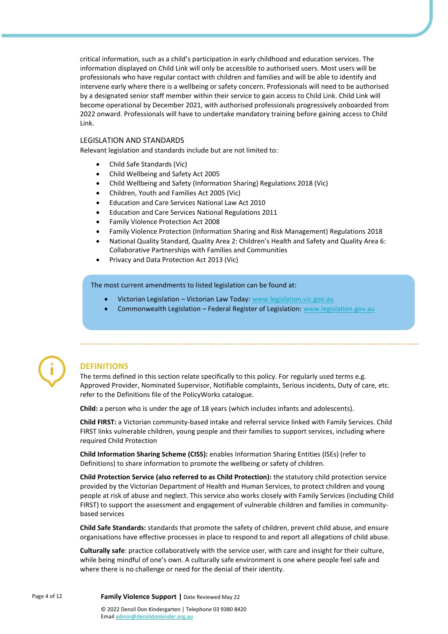critical information, such as a child's participation in early childhood and education services. The information displayed on Child Link will only be accessible to authorised users. Most users will be professionals who have regular contact with children and families and will be able to identify and intervene early where there is a wellbeing or safety concern. Professionals will need to be authorised by a designated senior staff member within their service to gain access to Child Link. Child Link will become operational by December 2021, with authorised professionals progressively onboarded from 2022 onward. Professionals will have to undertake mandatory training before gaining access to Child Link.

#### LEGISLATION AND STANDARDS

Relevant legislation and standards include but are not limited to:

- Child Safe Standards (Vic)
- Child Wellbeing and Safety Act 2005
- Child Wellbeing and Safety (Information Sharing) Regulations 2018 (Vic)
- Children, Youth and Families Act 2005 (Vic)
- Education and Care Services National Law Act 2010
- Education and Care Services National Regulations 2011
- Family Violence Protection Act 2008
- Family Violence Protection (Information Sharing and Risk Management) Regulations 2018
- National Quality Standard, Quality Area 2: Children's Health and Safety and Quality Area 6: Collaborative Partnerships with Families and Communities
- Privacy and Data Protection Act 2013 (Vic)

The most current amendments to listed legislation can be found at:

- Victorian Legislation Victorian Law Today: [www.legislation.vic.gov.au](http://www.legislation.vic.gov.au/)
- Commonwealth Legislation Federal Register of Legislation[: www.legislation.gov.au](http://www.legislation.gov.au/)



#### **DEFINITIONS**

The terms defined in this section relate specifically to this policy. For regularly used terms e.g. Approved Provider, Nominated Supervisor, Notifiable complaints, Serious incidents, Duty of care, etc. refer to the Definitions file of the PolicyWorks catalogue.

**Child:** a person who is under the age of 18 years (which includes infants and adolescents).

**Child FIRST:** a Victorian community-based intake and referral service linked with Family Services. Child FIRST links vulnerable children, young people and their families to support services, including where required Child Protection

**Child Information Sharing Scheme (CISS):** enables Information Sharing Entities (ISEs) (refer to Definitions) to share information to promote the wellbeing or safety of children.

**Child Protection Service (also referred to as Child Protection):** the statutory child protection service provided by the Victorian Department of Health and Human Services, to protect children and young people at risk of abuse and neglect. This service also works closely with Family Services (including Child FIRST) to support the assessment and engagement of vulnerable children and families in communitybased services

**Child Safe Standards:** standards that promote the safety of children, prevent child abuse, and ensure organisations have effective processes in place to respond to and report all allegations of child abuse.

**Culturally safe**: practice collaboratively with the service user, with care and insight for their culture, while being mindful of one's own. A culturally safe environment is one where people feel safe and where there is no challenge or need for the denial of their identity.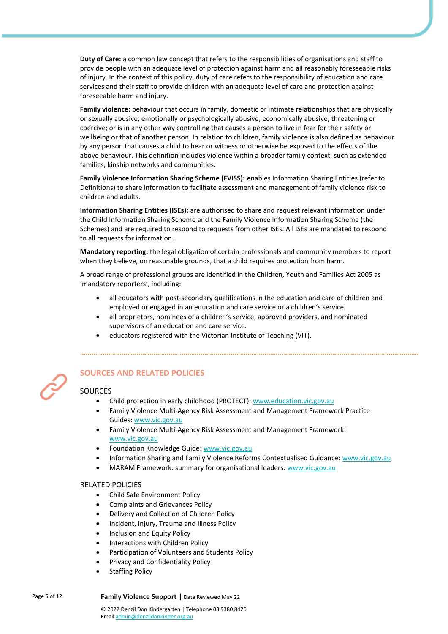**Duty of Care:** a common law concept that refers to the responsibilities of organisations and staff to provide people with an adequate level of protection against harm and all reasonably foreseeable risks of injury. In the context of this policy, duty of care refers to the responsibility of education and care services and their staff to provide children with an adequate level of care and protection against foreseeable harm and injury.

**Family violence:** behaviour that occurs in family, domestic or intimate relationships that are physically or sexually abusive; emotionally or psychologically abusive; economically abusive; threatening or coercive; or is in any other way controlling that causes a person to live in fear for their safety or wellbeing or that of another person. In relation to children, family violence is also defined as behaviour by any person that causes a child to hear or witness or otherwise be exposed to the effects of the above behaviour. This definition includes violence within a broader family context, such as extended families, kinship networks and communities.

**Family Violence Information Sharing Scheme (FVISS):** enables Information Sharing Entities (refer to Definitions) to share information to facilitate assessment and management of family violence risk to children and adults.

**Information Sharing Entities (ISEs):** are authorised to share and request relevant information under the Child Information Sharing Scheme and the Family Violence Information Sharing Scheme (the Schemes) and are required to respond to requests from other ISEs. All ISEs are mandated to respond to all requests for information.

**Mandatory reporting:** the legal obligation of certain professionals and community members to report when they believe, on reasonable grounds, that a child requires protection from harm.

A broad range of professional groups are identified in the Children, Youth and Families Act 2005 as 'mandatory reporters', including:

- all educators with post-secondary qualifications in the education and care of children and employed or engaged in an education and care service or a children's service
- all proprietors, nominees of a children's service, approved providers, and nominated supervisors of an education and care service.
- educators registered with the Victorian Institute of Teaching (VIT).



## **SOURCES AND RELATED POLICIES**

## **SOURCES**

- Child protection in early childhood (PROTECT): [www.education.vic.gov.au](https://www.education.vic.gov.au/Pages/default.aspx)
- Family Violence Multi-Agency Risk Assessment and Management Framework Practice Guides[: www.vic.gov.au](https://www.vic.gov.au/)
- Family Violence Multi-Agency Risk Assessment and Management Framework: [www.vic.gov.au](https://www.vic.gov.au/)
- Foundation Knowledge Guide[: www.vic.gov.au](https://www.vic.gov.au/)
- Information Sharing and Family Violence Reforms Contextualised Guidance: [www.vic.gov.au](https://www.vic.gov.au/)
- MARAM Framework: summary for organisational leaders: [www.vic.gov.au](http://www.vic.gov.au/)

#### RELATED POLICIES

- Child Safe Environment Policy
- Complaints and Grievances Policy
- Delivery and Collection of Children Policy
- Incident, Injury, Trauma and Illness Policy
- Inclusion and Equity Policy
- Interactions with Children Policy
- Participation of Volunteers and Students Policy
- Privacy and Confidentiality Policy
- **Staffing Policy**

Page 5 of 12 **Family Violence Support |** Date Reviewed May 22

© 2022 Denzil Don Kindergarten | Telephone 03 9380 8420 Emai[l admin@denzildonkinder.org.au](mailto:admin@denzildonkinder.org.au)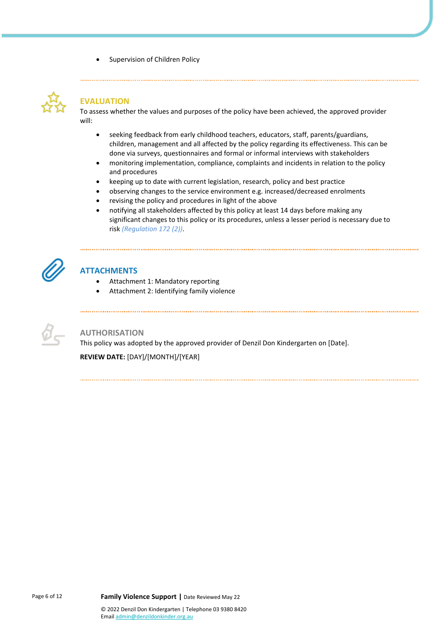Supervision of Children Policy



# **EVALUATION**

To assess whether the values and purposes of the policy have been achieved, the approved provider will:

- seeking feedback from early childhood teachers, educators, staff, parents/guardians, children, management and all affected by the policy regarding its effectiveness. This can be done via surveys, questionnaires and formal or informal interviews with stakeholders
- monitoring implementation, compliance, complaints and incidents in relation to the policy and procedures
- keeping up to date with current legislation, research, policy and best practice
- observing changes to the service environment e.g. increased/decreased enrolments
- revising the policy and procedures in light of the above

• notifying all stakeholders affected by this policy at least 14 days before making any significant changes to this policy or its procedures, unless a lesser period is necessary due to risk *(Regulation 172 (2))*.



# **ATTACHMENTS**

- Attachment 1: Mandatory reporting
- Attachment 2: Identifying family violence

#### **AUTHORISATION**

This policy was adopted by the approved provider of Denzil Don Kindergarten on [Date].

**REVIEW DATE:** [DAY]/[MONTH]/[YEAR]

Page 6 of 12 **Family Violence Support |** Date Reviewed May 22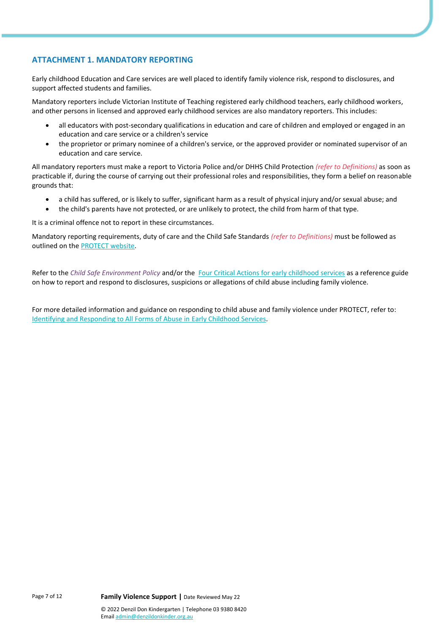## **ATTACHMENT 1. MANDATORY REPORTING**

Early childhood Education and Care services are well placed to identify family violence risk, respond to disclosures, and support affected students and families.

Mandatory reporters include Victorian Institute of Teaching registered early childhood teachers, early childhood workers, and other persons in licensed and approved early childhood services are also mandatory reporters. This includes:

- all educators with post-secondary qualifications in education and care of children and employed or engaged in an education and care service or a children's service
- the proprietor or primary nominee of a children's service, or the approved provider or nominated supervisor of an education and care service.

All mandatory reporters must make a report to Victoria Police and/or DHHS Child Protection *(refer to Definitions)* as soon as practicable if, during the course of carrying out their professional roles and responsibilities, they form a belief on reasonable grounds that:

- a child has suffered, or is likely to suffer, significant harm as a result of physical injury and/or sexual abuse; and
- the child's parents have not protected, or are unlikely to protect, the child from harm of that type.

It is a criminal offence not to report in these circumstances.

Mandatory reporting requirements, duty of care and the Child Safe Standards *(refer to Definitions)* must be followed as outlined on th[e PROTECT website.](https://www.education.vic.gov.au/childhood/professionals/health/childprotection/Pages/ecguidance.aspx)

Refer to the *Child Safe Environment Policy* and/or the [Four Critical Actions for early childhood services](https://www.education.vic.gov.au/childhood/professionals/health/childprotection/Pages/eccritmustact.aspx) as a reference guide on how to report and respond to disclosures, suspicions or allegations of child abuse including family violence.

For more detailed information and guidance on responding to child abuse and family violence under PROTECT, refer to: [Identifying and Responding to All Forms of Abuse in Early Childhood Services.](https://www.education.vic.gov.au/Documents/about/programs/health/protect/EarlyChildhood_Guidance.pdf)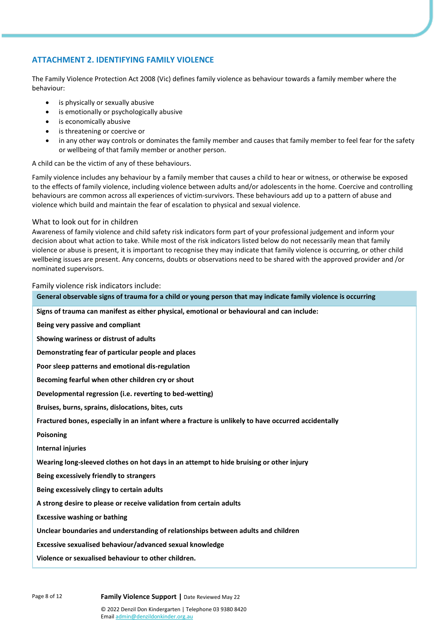## **ATTACHMENT 2. IDENTIFYING FAMILY VIOLENCE**

The Family Violence Protection Act 2008 (Vic) defines family violence as behaviour towards a family member where the behaviour:

- is physically or sexually abusive
- is emotionally or psychologically abusive
- is economically abusive
- is threatening or coercive or
- in any other way controls or dominates the family member and causes that family member to feel fear for the safety or wellbeing of that family member or another person.

A child can be the victim of any of these behaviours.

Family violence includes any behaviour by a family member that causes a child to hear or witness, or otherwise be exposed to the effects of family violence, including violence between adults and/or adolescents in the home. Coercive and controlling behaviours are common across all experiences of victim-survivors. These behaviours add up to a pattern of abuse and violence which build and maintain the fear of escalation to physical and sexual violence.

#### What to look out for in children

Awareness of family violence and child safety risk indicators form part of your professional judgement and inform your decision about what action to take. While most of the risk indicators listed below do not necessarily mean that family violence or abuse is present, it is important to recognise they may indicate that family violence is occurring, or other child wellbeing issues are present. Any concerns, doubts or observations need to be shared with the approved provider and /or nominated supervisors.

#### Family violence risk indicators include:

**General observable signs of trauma for a child or young person that may indicate family violence is occurring Signs of trauma can manifest as either physical, emotional or behavioural and can include: Being very passive and compliant Showing wariness or distrust of adults Demonstrating fear of particular people and places Poor sleep patterns and emotional dis-regulation Becoming fearful when other children cry or shout Developmental regression (i.e. reverting to bed-wetting) Bruises, burns, sprains, dislocations, bites, cuts Fractured bones, especially in an infant where a fracture is unlikely to have occurred accidentally Poisoning Internal injuries Wearing long-sleeved clothes on hot days in an attempt to hide bruising or other injury Being excessively friendly to strangers Being excessively clingy to certain adults A strong desire to please or receive validation from certain adults Excessive washing or bathing Unclear boundaries and understanding of relationships between adults and children Excessive sexualised behaviour/advanced sexual knowledge Violence or sexualised behaviour to other children.**

Page 8 of 12 **Family Violence Support |** Date Reviewed May 22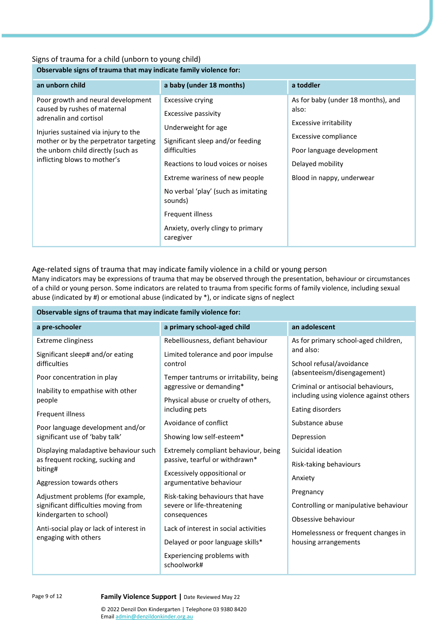## Signs of trauma for a child (unborn to young child)

## **Observable signs of trauma that may indicate family violence for:**

| an unborn child                                                                                                                                                                                                                                      | a baby (under 18 months)                                                                                                                                                                                                                                                                                           | a toddler                                                                                                                                                                   |
|------------------------------------------------------------------------------------------------------------------------------------------------------------------------------------------------------------------------------------------------------|--------------------------------------------------------------------------------------------------------------------------------------------------------------------------------------------------------------------------------------------------------------------------------------------------------------------|-----------------------------------------------------------------------------------------------------------------------------------------------------------------------------|
| Poor growth and neural development<br>caused by rushes of maternal<br>adrenalin and cortisol<br>Injuries sustained via injury to the<br>mother or by the perpetrator targeting<br>the unborn child directly (such as<br>inflicting blows to mother's | Excessive crying<br>Excessive passivity<br>Underweight for age<br>Significant sleep and/or feeding<br>difficulties<br>Reactions to loud voices or noises<br>Extreme wariness of new people<br>No verbal 'play' (such as imitating<br>sounds)<br>Frequent illness<br>Anxiety, overly clingy to primary<br>caregiver | As for baby (under 18 months), and<br>also:<br>Excessive irritability<br>Excessive compliance<br>Poor language development<br>Delayed mobility<br>Blood in nappy, underwear |

Age-related signs of trauma that may indicate family violence in a child or young person

Many indicators may be expressions of trauma that may be observed through the presentation, behaviour or circumstances of a child or young person. Some indicators are related to trauma from specific forms of family violence, including sexual abuse (indicated by #) or emotional abuse (indicated by \*), or indicate signs of neglect

| Observable signs of trauma that may indicate family violence for: |                                                        |                                                                               |  |  |  |
|-------------------------------------------------------------------|--------------------------------------------------------|-------------------------------------------------------------------------------|--|--|--|
| a pre-schooler                                                    | a primary school-aged child                            | an adolescent                                                                 |  |  |  |
| <b>Extreme clinginess</b>                                         | Rebelliousness, defiant behaviour                      | As for primary school-aged children,                                          |  |  |  |
| Significant sleep# and/or eating<br>difficulties                  | Limited tolerance and poor impulse<br>control          | and also:<br>School refusal/avoidance                                         |  |  |  |
| Poor concentration in play                                        | Temper tantrums or irritability, being                 | (absenteeism/disengagement)                                                   |  |  |  |
| Inability to empathise with other                                 | aggressive or demanding*                               | Criminal or antisocial behaviours,<br>including using violence against others |  |  |  |
| people                                                            | Physical abuse or cruelty of others,                   |                                                                               |  |  |  |
| Frequent illness                                                  | including pets                                         | Eating disorders                                                              |  |  |  |
| Poor language development and/or                                  | Avoidance of conflict                                  | Substance abuse                                                               |  |  |  |
| significant use of 'baby talk'                                    | Showing low self-esteem*                               | Depression                                                                    |  |  |  |
| Displaying maladaptive behaviour such                             | Extremely compliant behaviour, being                   | Suicidal ideation                                                             |  |  |  |
| as frequent rocking, sucking and<br>biting#                       | passive, tearful or withdrawn*                         | Risk-taking behaviours                                                        |  |  |  |
| Aggression towards others                                         | Excessively oppositional or<br>argumentative behaviour | Anxiety                                                                       |  |  |  |
| Adjustment problems (for example,                                 | Risk-taking behaviours that have                       | Pregnancy                                                                     |  |  |  |
| significant difficulties moving from                              | severe or life-threatening                             | Controlling or manipulative behaviour                                         |  |  |  |
| kindergarten to school)                                           | consequences                                           | Obsessive behaviour                                                           |  |  |  |
| Anti-social play or lack of interest in                           | Lack of interest in social activities                  | Homelessness or frequent changes in                                           |  |  |  |
| engaging with others                                              | Delayed or poor language skills*                       | housing arrangements                                                          |  |  |  |
|                                                                   | Experiencing problems with<br>schoolwork#              |                                                                               |  |  |  |

### Page 9 of 12 **Family Violence Support |** Date Reviewed May 22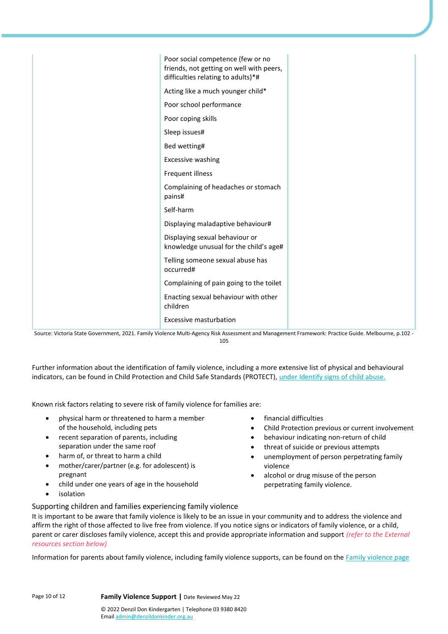| Poor social competence (few or no                                        |
|--------------------------------------------------------------------------|
| friends, not getting on well with peers,                                 |
| difficulties relating to adults)*#                                       |
| Acting like a much younger child*                                        |
| Poor school performance                                                  |
| Poor coping skills                                                       |
| Sleep issues#                                                            |
| Bed wetting#                                                             |
| Excessive washing                                                        |
| Frequent illness                                                         |
| Complaining of headaches or stomach<br>pains#                            |
| Self-harm                                                                |
| Displaying maladaptive behaviour#                                        |
| Displaying sexual behaviour or<br>knowledge unusual for the child's age# |
| Telling someone sexual abuse has<br>occurred#                            |
| Complaining of pain going to the toilet                                  |
| Enacting sexual behaviour with other<br>children                         |
| <b>Excessive masturbation</b>                                            |

Source: Victoria State Government, 2021. Family Violence Multi-Agency Risk Assessment and Management Framework: Practice Guide. Melbourne, p.102 - 105

Further information about the identification of family violence, including a more extensive list of physical and behavioural indicators, can be found in Child Protection and Child Safe Standards (PROTECT), [under Identify signs of child abuse.](https://www.education.vic.gov.au/childhood/professionals/health/childprotection/Pages/ecidentifying.aspx)

Known risk factors relating to severe risk of family violence for families are:

- physical harm or threatened to harm a member of the household, including pets
- recent separation of parents, including separation under the same roof
- harm of, or threat to harm a child
- mother/carer/partner (e.g. for adolescent) is pregnant
- child under one years of age in the household
- **isolation**
- financial difficulties
- Child Protection previous or current involvement
- behaviour indicating non-return of child
- threat of suicide or previous attempts
- unemployment of person perpetrating family violence
- alcohol or drug misuse of the person perpetrating family violence.
- Supporting children and families experiencing family violence It is important to be aware that family violence is likely to be an issue in your community and to address the violence and affirm the right of those affected to live free from violence. If you notice signs or indicators of family violence, or a child, parent or carer discloses family violence, accept this and provide appropriate information and support *(refer to the External resources section below)*

Information for parents about family violence, including family violence supports, can be found on th[e Family violence page](https://www.education.vic.gov.au/parents/family-health/Pages/family-violence.aspx)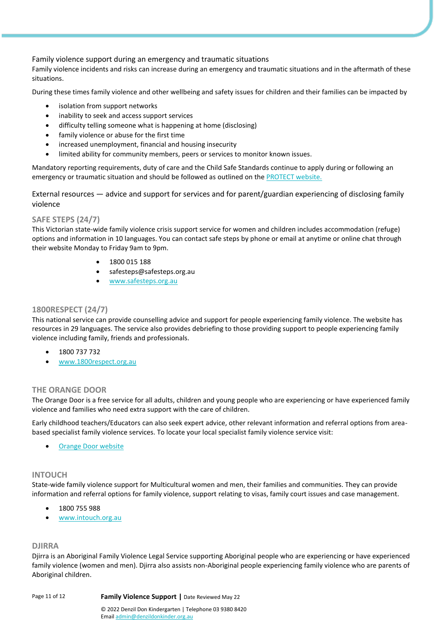Family violence support during an emergency and traumatic situations

Family violence incidents and risks can increase during an emergency and traumatic situations and in the aftermath of these situations.

During these times family violence and other wellbeing and safety issues for children and their families can be impacted by

- isolation from support networks
- inability to seek and access support services
- difficulty telling someone what is happening at home (disclosing)
- family violence or abuse for the first time
- increased unemployment, financial and housing insecurity
- limited ability for community members, peers or services to monitor known issues.

Mandatory reporting requirements, duty of care and the Child Safe Standards continue to apply during or following an emergency or traumatic situation and should be followed as outlined on the [PROTECT website.](https://www.education.vic.gov.au/childhood/professionals/health/childprotection/Pages/ecguidance.aspx)

External resources — advice and support for services and for parent/guardian experiencing of disclosing family violence

## **SAFE STEPS (24/7)**

This Victorian state-wide family violence crisis support service for women and children includes accommodation (refuge) options and information in 10 languages. You can contact safe steps by phone or email at anytime or online chat through their website Monday to Friday 9am to 9pm.

- 1800 015 188
- safesteps@safesteps.org.au
- [www.safesteps.org.au](https://www.safesteps.org.au/)

## **1800RESPECT (24/7)**

This national service can provide counselling advice and support for people experiencing family violence. The website has resources in 29 languages. The service also provides debriefing to those providing support to people experiencing family violence including family, friends and professionals.

- 1800 737 732
- [www.1800respect.org.au](https://www.1800respect.org.au/)

## **THE ORANGE DOOR**

The Orange Door is a free service for all adults, children and young people who are experiencing or have experienced family violence and families who need extra support with the care of children.

Early childhood teachers/Educators can also seek expert advice, other relevant information and referral options from areabased specialist family violence services. To locate your local specialist family violence service visit:

• [Orange Door website](https://orangedoor.vic.gov.au/)

## **INTOUCH**

State-wide family violence support for Multicultural women and men, their families and communities. They can provide information and referral options for family violence, support relating to visas, family court issues and case management.

- 1800 755 988
- [www.intouch.org.au](https://intouch.org.au/)

## **DJIRRA**

Djirra is an Aboriginal Family Violence Legal Service supporting Aboriginal people who are experiencing or have experienced family violence (women and men). Djirra also assists non-Aboriginal people experiencing family violence who are parents of Aboriginal children.

Page 11 of 12 **Family Violence Support |** Date Reviewed May 22